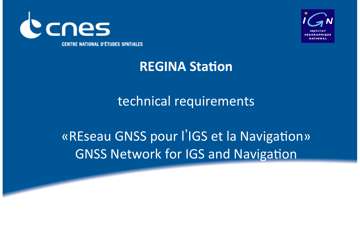



# **REGINA Station**

# technical requirements

# «REseau GNSS pour l'IGS et la Navigation» **GNSS Network for IGS and Navigation**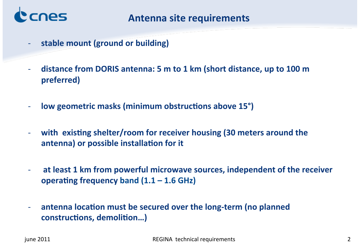

- @ **stable'mount'(ground'or'building)'**
- distance from DORIS antenna: 5 m to 1 km (short distance, up to 100 m **preferred)'**
- **low geometric masks (minimum obstructions above 15°)**
- with existing shelter/room for receiver housing (30 meters around the antenna) or possible installation for it
- at least 1 km from powerful microwave sources, independent of the receiver operating frequency band  $(1.1 - 1.6$  GHz)
- antenna location must be secured over the long-term (no planned  $control,$ demolition...)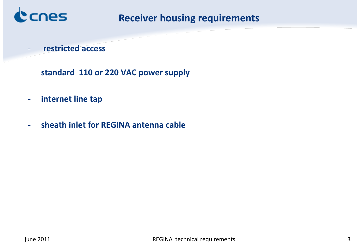

#### **Receiver housing requirements**

- @ **'restricted'access'**
- standard 110 or 220 VAC power supply
- internet line tap
- sheath inlet for REGINA antenna cable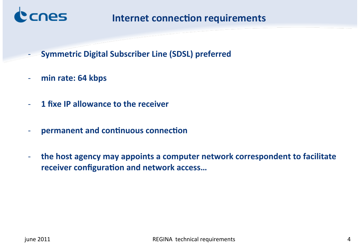

#### **Internet connection requirements**

- **Symmetric Digital Subscriber Line (SDSL) preferred**
- min rate: 64 kbps
- @ **1'fixe'IP'allowance'to'the'receiver'**
- permanent and continuous connection
- the host agency may appoints a computer network correspondent to facilitate receiver configuration and network access...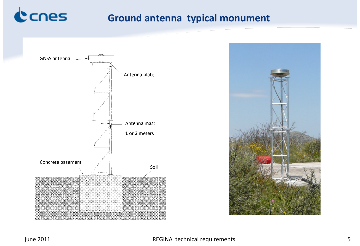

### **Ground antenna typical monument**





#### REGINA technical requirements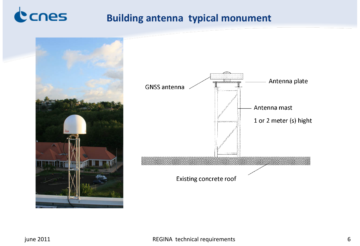

#### **Building antenna typical monument**